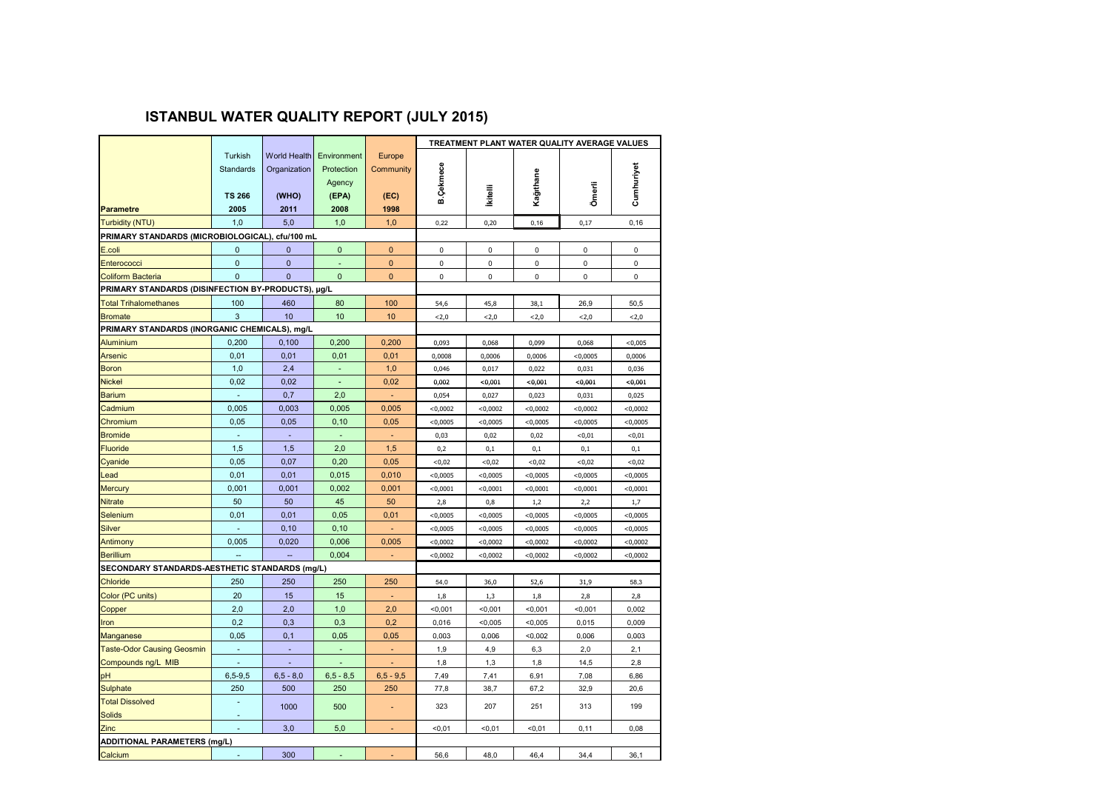## **ISTANBUL WATER QUALITY REPORT (JULY 2015)**

|                                                    |                                       |                                              |                                              |                             | TREATMENT PLANT WATER QUALITY AVERAGE VALUES |                 |             |             |             |
|----------------------------------------------------|---------------------------------------|----------------------------------------------|----------------------------------------------|-----------------------------|----------------------------------------------|-----------------|-------------|-------------|-------------|
|                                                    | Turkish<br>Standards<br><b>TS 266</b> | <b>World Health</b><br>Organization<br>(WHO) | Environment<br>Protection<br>Agency<br>(FPA) | Europe<br>Community<br>(EC) | B.Çekmece                                    | <b>ikitelli</b> | Kağıthane   | Ömerli      | Cumhuriyet  |
| <b>Parametre</b>                                   | 2005                                  | 2011                                         | 2008                                         | 1998                        |                                              |                 |             |             |             |
| <b>Turbidity (NTU)</b>                             | 1,0                                   | 5,0                                          | 1,0                                          | 1,0                         | 0,22                                         | 0,20            | 0, 16       | 0,17        | 0,16        |
| PRIMARY STANDARDS (MICROBIOLOGICAL), cfu/100 mL    |                                       |                                              |                                              |                             |                                              |                 |             |             |             |
| E.coli                                             | $\mathbf 0$                           | $\mathbf{0}$                                 | 0                                            | 0                           | 0                                            | 0               | 0           | 0           | $\mathsf 0$ |
| Enterococci                                        | $\mathbf{0}$                          | $\mathbf{0}$                                 |                                              | $\mathbf 0$                 | 0                                            | 0               | 0           | 0           | $\mathsf 0$ |
| <b>Coliform Bacteria</b>                           | $\Omega$                              | $\Omega$                                     | $\Omega$                                     | $\mathbf{0}$                | $\mathbf 0$                                  | 0               | $\mathbf 0$ | $\mathbf 0$ | $\mathbf 0$ |
| PRIMARY STANDARDS (DISINFECTION BY-PRODUCTS), µg/L |                                       |                                              |                                              |                             |                                              |                 |             |             |             |
| <b>Total Trihalomethanes</b>                       | 100                                   | 460                                          | 80                                           | 100                         | 54,6                                         | 45,8            | 38,1        | 26,9        | 50,5        |
| <b>Bromate</b>                                     | 3                                     | 10                                           | 10                                           | 10                          | 2,0                                          | 2,0             | < 2, 0      | 2,0         | < 2, 0      |
| PRIMARY STANDARDS (INORGANIC CHEMICALS), mg/L      |                                       |                                              |                                              |                             |                                              |                 |             |             |             |
| <b>Aluminium</b>                                   | 0,200                                 | 0,100                                        | 0,200                                        | 0,200                       | 0,093                                        | 0,068           | 0,099       | 0,068       | < 0,005     |
| <b>Arsenic</b>                                     | 0,01                                  | 0,01                                         | 0,01                                         | 0,01                        | 0,0008                                       | 0,0006          | 0,0006      | $<$ 0,0005  | 0,0006      |
| <b>Boron</b>                                       | 1,0                                   | 2,4                                          |                                              | 1,0                         | 0,046                                        | 0,017           | 0,022       | 0,031       | 0,036       |
| <b>Nickel</b>                                      | 0,02                                  | 0,02                                         | ÷,                                           | 0,02                        | 0,002                                        | < 0.001         | <0,001      | < 0.001     | < 0.001     |
| <b>Barium</b>                                      | ÷,                                    | 0,7                                          | 2,0                                          | $\overline{\phantom{a}}$    | 0,054                                        | 0,027           | 0,023       | 0,031       | 0,025       |
| Cadmium                                            | 0,005                                 | 0,003                                        | 0,005                                        | 0,005                       | < 0,0002                                     | < 0,0002        | < 0,0002    | $<$ 0,0002  | < 0,0002    |
| Chromium                                           | 0,05                                  | 0,05                                         | 0, 10                                        | 0,05                        | $<$ 0,0005                                   | < 0,0005        | < 0,0005    | $<$ 0,0005  | < 0,0005    |
| <b>Bromide</b>                                     |                                       | ÷,                                           |                                              |                             | 0,03                                         | 0,02            | 0,02        | <0,01       | < 0, 01     |
| <b>Fluoride</b>                                    | 1,5                                   | 1,5                                          | 2,0                                          | 1,5                         | 0,2                                          | 0,1             | 0,1         | 0,1         | 0,1         |
| Cyanide                                            | 0,05                                  | 0,07                                         | 0,20                                         | 0,05                        | <0,02                                        | <0,02           | <0,02       | <0,02       | <0,02       |
| Lead                                               | 0,01                                  | 0,01                                         | 0,015                                        | 0,010                       | $<$ 0,0005                                   | < 0,0005        | < 0,0005    | $<$ 0,0005  | < 0,0005    |
| <b>Mercury</b>                                     | 0,001                                 | 0,001                                        | 0,002                                        | 0,001                       | < 0,0001                                     | < 0,0001        | < 0,0001    | < 0,0001    | < 0,0001    |
| <b>Nitrate</b>                                     | 50                                    | 50                                           | 45                                           | 50                          | 2,8                                          | 0,8             | 1,2         | 2,2         | 1,7         |
| Selenium                                           | 0,01                                  | 0,01                                         | 0,05                                         | 0,01                        | $<$ 0,0005                                   | < 0,0005        | < 0,0005    | $<$ 0,0005  | < 0,0005    |
| <b>Silver</b>                                      |                                       | 0, 10                                        | 0, 10                                        |                             | $<$ 0,0005                                   | $<$ 0,0005      | $<$ 0,0005  | $<$ 0,0005  | < 0,0005    |
| Antimony                                           | 0,005                                 | 0,020                                        | 0,006                                        | 0,005                       | <0,0002                                      | <0,0002         | <0,0002     | $<$ 0,0002  | <0,0002     |
| <b>Berillium</b>                                   | $\overline{\phantom{a}}$              | $\sim$                                       | 0,004                                        | ٠                           | < 0,0002                                     | < 0,0002        | < 0,0002    | < 0,0002    | < 0,0002    |
| SECONDARY STANDARDS-AESTHETIC STANDARDS (mg/L)     |                                       |                                              |                                              |                             |                                              |                 |             |             |             |
| <b>Chloride</b>                                    | 250                                   | 250                                          | 250                                          | 250                         | 54,0                                         | 36,0            | 52,6        | 31,9        | 58,3        |
| Color (PC units)                                   | 20                                    | 15                                           | 15                                           |                             | 1,8                                          | 1,3             | 1,8         | 2,8         | 2,8         |
| Copper                                             | 2,0                                   | 2,0                                          | 1,0                                          | 2,0                         | < 0,001                                      | < 0,001         | < 0,001     | < 0,001     | 0,002       |
| Iron                                               | 0,2                                   | 0,3                                          | 0,3                                          | 0,2                         | 0,016                                        | < 0,005         | < 0,005     | 0,015       | 0,009       |
| <b>Manganese</b>                                   | 0,05                                  | 0,1                                          | 0,05                                         | 0,05                        | 0,003                                        | 0,006           | < 0,002     | 0,006       | 0,003       |
| <b>Taste-Odor Causing Geosmin</b>                  |                                       | ÷                                            |                                              |                             | 1,9                                          | 4,9             | 6,3         | 2,0         | 2,1         |
| Compounds ng/L MIB                                 |                                       |                                              |                                              |                             | 1,8                                          | 1,3             | 1,8         | 14,5        | 2,8         |
| pH                                                 | $6, 5 - 9, 5$                         | $6, 5 - 8, 0$                                | $6,5 - 8,5$                                  | $6,5 - 9,5$                 | 7,49                                         | 7,41            | 6,91        | 7,08        | 6,86        |
| Sulphate                                           | 250                                   | 500                                          | 250                                          | 250                         | 77,8                                         | 38,7            | 67,2        | 32,9        | 20,6        |
| <b>Total Dissolved</b>                             |                                       | 1000                                         | 500                                          | ÷.                          | 323                                          | 207             | 251         | 313         | 199         |
| <b>Solids</b>                                      |                                       |                                              |                                              |                             |                                              |                 |             |             |             |
| Zinc                                               |                                       | 3,0                                          | 5,0                                          |                             | < 0.01                                       | $0,01$          | < 0.01      | 0,11        | 0,08        |
|                                                    | <b>ADDITIONAL PARAMETERS (mg/L)</b>   |                                              |                                              |                             |                                              |                 |             |             |             |
| Calcium                                            |                                       | 300                                          |                                              |                             | 56,6                                         | 48,0            | 46,4        | 34,4        | 36,1        |